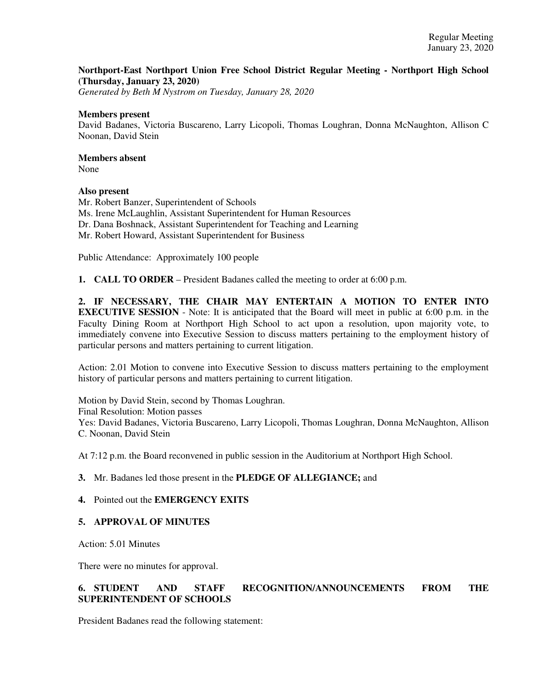## **Northport-East Northport Union Free School District Regular Meeting - Northport High School (Thursday, January 23, 2020)**

*Generated by Beth M Nystrom on Tuesday, January 28, 2020*

#### **Members present**

David Badanes, Victoria Buscareno, Larry Licopoli, Thomas Loughran, Donna McNaughton, Allison C Noonan, David Stein

# **Members absent**

None

## **Also present**

Mr. Robert Banzer, Superintendent of Schools Ms. Irene McLaughlin, Assistant Superintendent for Human Resources Dr. Dana Boshnack, Assistant Superintendent for Teaching and Learning Mr. Robert Howard, Assistant Superintendent for Business

Public Attendance: Approximately 100 people

**1. CALL TO ORDER** – President Badanes called the meeting to order at 6:00 p.m.

**2. IF NECESSARY, THE CHAIR MAY ENTERTAIN A MOTION TO ENTER INTO EXECUTIVE SESSION** - Note: It is anticipated that the Board will meet in public at 6:00 p.m. in the Faculty Dining Room at Northport High School to act upon a resolution, upon majority vote, to immediately convene into Executive Session to discuss matters pertaining to the employment history of particular persons and matters pertaining to current litigation.

Action: 2.01 Motion to convene into Executive Session to discuss matters pertaining to the employment history of particular persons and matters pertaining to current litigation.

Motion by David Stein, second by Thomas Loughran. Final Resolution: Motion passes Yes: David Badanes, Victoria Buscareno, Larry Licopoli, Thomas Loughran, Donna McNaughton, Allison C. Noonan, David Stein

At 7:12 p.m. the Board reconvened in public session in the Auditorium at Northport High School.

## **3.** Mr. Badanes led those present in the **PLEDGE OF ALLEGIANCE;** and

## **4.** Pointed out the **EMERGENCY EXITS**

## **5. APPROVAL OF MINUTES**

Action: 5.01 Minutes

There were no minutes for approval.

# **6. STUDENT AND STAFF RECOGNITION/ANNOUNCEMENTS FROM THE SUPERINTENDENT OF SCHOOLS**

President Badanes read the following statement: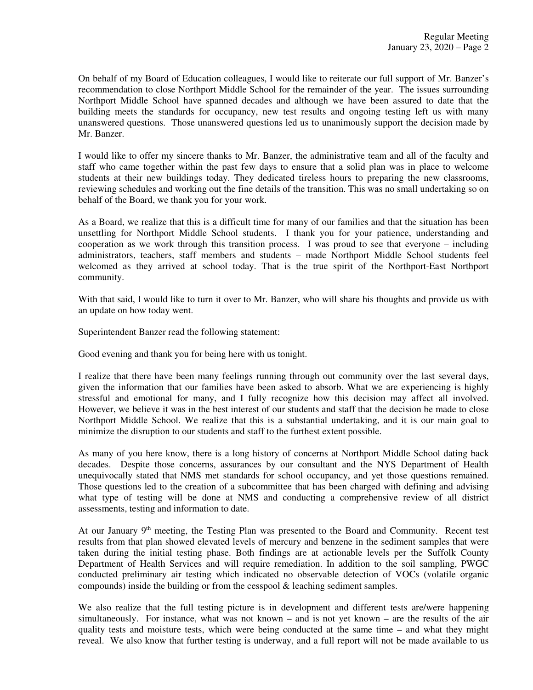On behalf of my Board of Education colleagues, I would like to reiterate our full support of Mr. Banzer's recommendation to close Northport Middle School for the remainder of the year. The issues surrounding Northport Middle School have spanned decades and although we have been assured to date that the building meets the standards for occupancy, new test results and ongoing testing left us with many unanswered questions. Those unanswered questions led us to unanimously support the decision made by Mr. Banzer.

I would like to offer my sincere thanks to Mr. Banzer, the administrative team and all of the faculty and staff who came together within the past few days to ensure that a solid plan was in place to welcome students at their new buildings today. They dedicated tireless hours to preparing the new classrooms, reviewing schedules and working out the fine details of the transition. This was no small undertaking so on behalf of the Board, we thank you for your work.

As a Board, we realize that this is a difficult time for many of our families and that the situation has been unsettling for Northport Middle School students. I thank you for your patience, understanding and cooperation as we work through this transition process. I was proud to see that everyone – including administrators, teachers, staff members and students – made Northport Middle School students feel welcomed as they arrived at school today. That is the true spirit of the Northport-East Northport community.

With that said, I would like to turn it over to Mr. Banzer, who will share his thoughts and provide us with an update on how today went.

Superintendent Banzer read the following statement:

Good evening and thank you for being here with us tonight.

I realize that there have been many feelings running through out community over the last several days, given the information that our families have been asked to absorb. What we are experiencing is highly stressful and emotional for many, and I fully recognize how this decision may affect all involved. However, we believe it was in the best interest of our students and staff that the decision be made to close Northport Middle School. We realize that this is a substantial undertaking, and it is our main goal to minimize the disruption to our students and staff to the furthest extent possible.

As many of you here know, there is a long history of concerns at Northport Middle School dating back decades. Despite those concerns, assurances by our consultant and the NYS Department of Health unequivocally stated that NMS met standards for school occupancy, and yet those questions remained. Those questions led to the creation of a subcommittee that has been charged with defining and advising what type of testing will be done at NMS and conducting a comprehensive review of all district assessments, testing and information to date.

At our January  $9<sup>th</sup>$  meeting, the Testing Plan was presented to the Board and Community. Recent test results from that plan showed elevated levels of mercury and benzene in the sediment samples that were taken during the initial testing phase. Both findings are at actionable levels per the Suffolk County Department of Health Services and will require remediation. In addition to the soil sampling, PWGC conducted preliminary air testing which indicated no observable detection of VOCs (volatile organic compounds) inside the building or from the cesspool & leaching sediment samples.

We also realize that the full testing picture is in development and different tests are/were happening simultaneously. For instance, what was not known – and is not yet known – are the results of the air quality tests and moisture tests, which were being conducted at the same time – and what they might reveal. We also know that further testing is underway, and a full report will not be made available to us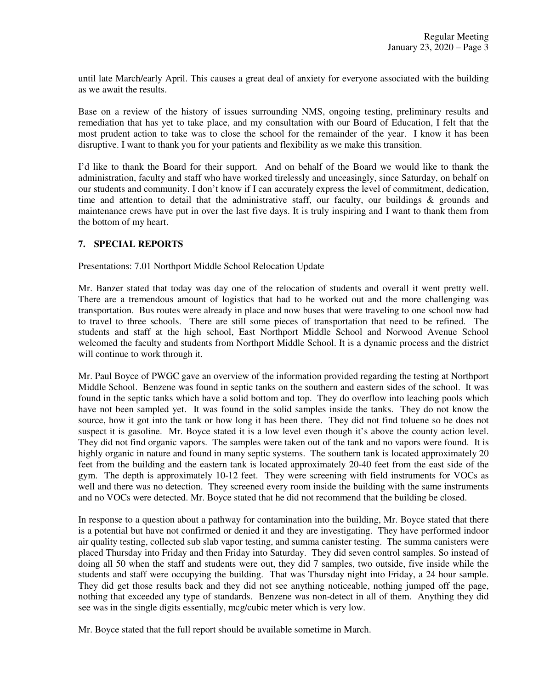until late March/early April. This causes a great deal of anxiety for everyone associated with the building as we await the results.

Base on a review of the history of issues surrounding NMS, ongoing testing, preliminary results and remediation that has yet to take place, and my consultation with our Board of Education, I felt that the most prudent action to take was to close the school for the remainder of the year. I know it has been disruptive. I want to thank you for your patients and flexibility as we make this transition.

I'd like to thank the Board for their support. And on behalf of the Board we would like to thank the administration, faculty and staff who have worked tirelessly and unceasingly, since Saturday, on behalf on our students and community. I don't know if I can accurately express the level of commitment, dedication, time and attention to detail that the administrative staff, our faculty, our buildings  $\&$  grounds and maintenance crews have put in over the last five days. It is truly inspiring and I want to thank them from the bottom of my heart.

## **7. SPECIAL REPORTS**

Presentations: 7.01 Northport Middle School Relocation Update

Mr. Banzer stated that today was day one of the relocation of students and overall it went pretty well. There are a tremendous amount of logistics that had to be worked out and the more challenging was transportation. Bus routes were already in place and now buses that were traveling to one school now had to travel to three schools. There are still some pieces of transportation that need to be refined. The students and staff at the high school, East Northport Middle School and Norwood Avenue School welcomed the faculty and students from Northport Middle School. It is a dynamic process and the district will continue to work through it.

Mr. Paul Boyce of PWGC gave an overview of the information provided regarding the testing at Northport Middle School. Benzene was found in septic tanks on the southern and eastern sides of the school. It was found in the septic tanks which have a solid bottom and top. They do overflow into leaching pools which have not been sampled yet. It was found in the solid samples inside the tanks. They do not know the source, how it got into the tank or how long it has been there. They did not find toluene so he does not suspect it is gasoline. Mr. Boyce stated it is a low level even though it's above the county action level. They did not find organic vapors. The samples were taken out of the tank and no vapors were found. It is highly organic in nature and found in many septic systems. The southern tank is located approximately 20 feet from the building and the eastern tank is located approximately 20-40 feet from the east side of the gym. The depth is approximately 10-12 feet. They were screening with field instruments for VOCs as well and there was no detection. They screened every room inside the building with the same instruments and no VOCs were detected. Mr. Boyce stated that he did not recommend that the building be closed.

In response to a question about a pathway for contamination into the building, Mr. Boyce stated that there is a potential but have not confirmed or denied it and they are investigating. They have performed indoor air quality testing, collected sub slab vapor testing, and summa canister testing. The summa canisters were placed Thursday into Friday and then Friday into Saturday. They did seven control samples. So instead of doing all 50 when the staff and students were out, they did 7 samples, two outside, five inside while the students and staff were occupying the building. That was Thursday night into Friday, a 24 hour sample. They did get those results back and they did not see anything noticeable, nothing jumped off the page, nothing that exceeded any type of standards. Benzene was non-detect in all of them. Anything they did see was in the single digits essentially, mcg/cubic meter which is very low.

Mr. Boyce stated that the full report should be available sometime in March.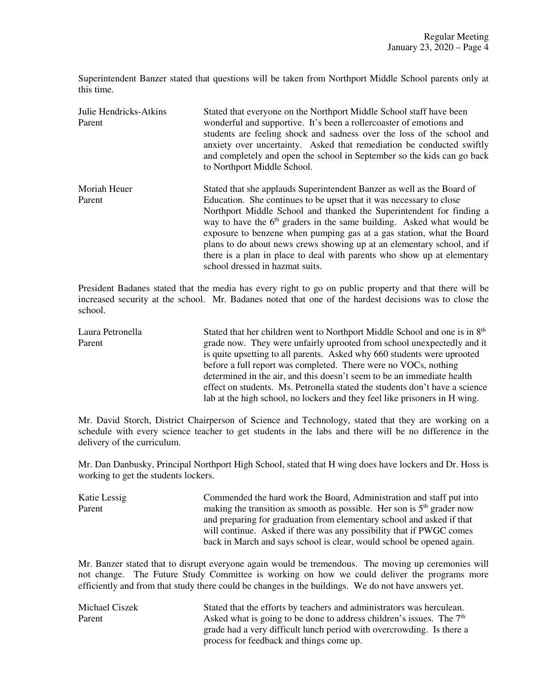Superintendent Banzer stated that questions will be taken from Northport Middle School parents only at this time.

| Julie Hendricks-Atkins<br>Parent | Stated that everyone on the Northport Middle School staff have been<br>wonderful and supportive. It's been a roller coaster of emotions and<br>students are feeling shock and sadness over the loss of the school and<br>anxiety over uncertainty. Asked that remediation be conducted swiftly<br>and completely and open the school in September so the kids can go back<br>to Northport Middle School.                                                                                                                                                           |
|----------------------------------|--------------------------------------------------------------------------------------------------------------------------------------------------------------------------------------------------------------------------------------------------------------------------------------------------------------------------------------------------------------------------------------------------------------------------------------------------------------------------------------------------------------------------------------------------------------------|
| Moriah Heuer<br>Parent           | Stated that she applauds Superintendent Banzer as well as the Board of<br>Education. She continues to be upset that it was necessary to close<br>Northport Middle School and thanked the Superintendent for finding a<br>way to have the $6th$ graders in the same building. Asked what would be<br>exposure to benzene when pumping gas at a gas station, what the Board<br>plans to do about news crews showing up at an elementary school, and if<br>there is a plan in place to deal with parents who show up at elementary<br>school dressed in hazmat suits. |

President Badanes stated that the media has every right to go on public property and that there will be increased security at the school. Mr. Badanes noted that one of the hardest decisions was to close the school.

Laura Petronella Stated that her children went to Northport Middle School and one is in 8<sup>th</sup> Parent grade now. They were unfairly uprooted from school unexpectedly and it is quite upsetting to all parents. Asked why 660 students were uprooted before a full report was completed. There were no VOCs, nothing determined in the air, and this doesn't seem to be an immediate health effect on students. Ms. Petronella stated the students don't have a science lab at the high school, no lockers and they feel like prisoners in H wing.

Mr. David Storch, District Chairperson of Science and Technology, stated that they are working on a schedule with every science teacher to get students in the labs and there will be no difference in the delivery of the curriculum.

Mr. Dan Danbusky, Principal Northport High School, stated that H wing does have lockers and Dr. Hoss is working to get the students lockers.

Katie Lessig Commended the hard work the Board, Administration and staff put into Parent making the transition as smooth as possible. Her son is 5<sup>th</sup> grader now and preparing for graduation from elementary school and asked if that will continue. Asked if there was any possibility that if PWGC comes back in March and says school is clear, would school be opened again.

Mr. Banzer stated that to disrupt everyone again would be tremendous. The moving up ceremonies will not change. The Future Study Committee is working on how we could deliver the programs more efficiently and from that study there could be changes in the buildings. We do not have answers yet.

| Michael Ciszek | Stated that the efforts by teachers and administrators was herculean.            |
|----------------|----------------------------------------------------------------------------------|
| Parent         | Asked what is going to be done to address children's issues. The 7 <sup>th</sup> |
|                | grade had a very difficult lunch period with overcrowding. Is there a            |
|                | process for feedback and things come up.                                         |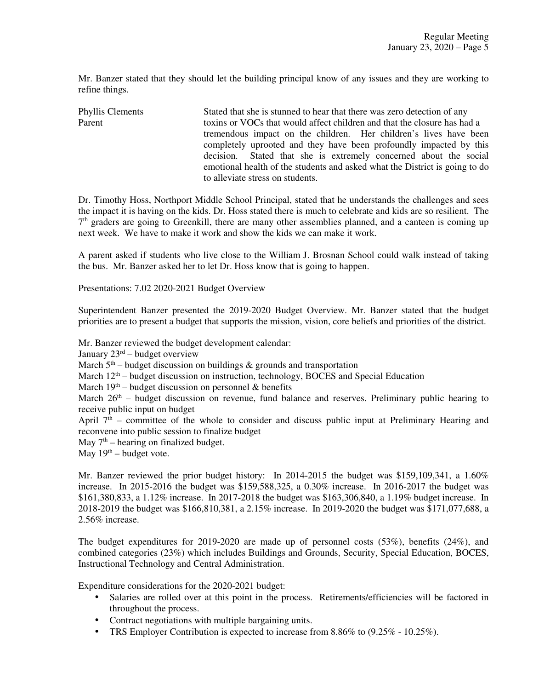Mr. Banzer stated that they should let the building principal know of any issues and they are working to refine things.

Phyllis Clements Stated that she is stunned to hear that there was zero detection of any Parent toxins or VOCs that would affect children and that the closure has had a tremendous impact on the children. Her children's lives have been completely uprooted and they have been profoundly impacted by this decision. Stated that she is extremely concerned about the social emotional health of the students and asked what the District is going to do to alleviate stress on students.

Dr. Timothy Hoss, Northport Middle School Principal, stated that he understands the challenges and sees the impact it is having on the kids. Dr. Hoss stated there is much to celebrate and kids are so resilient. The 7<sup>th</sup> graders are going to Greenkill, there are many other assemblies planned, and a canteen is coming up next week. We have to make it work and show the kids we can make it work.

A parent asked if students who live close to the William J. Brosnan School could walk instead of taking the bus. Mr. Banzer asked her to let Dr. Hoss know that is going to happen.

Presentations: 7.02 2020-2021 Budget Overview

Superintendent Banzer presented the 2019-2020 Budget Overview. Mr. Banzer stated that the budget priorities are to present a budget that supports the mission, vision, core beliefs and priorities of the district.

Mr. Banzer reviewed the budget development calendar:

January  $23<sup>rd</sup>$  – budget overview

March  $5<sup>th</sup>$  – budget discussion on buildings & grounds and transportation

March  $12<sup>th</sup>$  – budget discussion on instruction, technology, BOCES and Special Education

March  $19<sup>th</sup>$  – budget discussion on personnel & benefits

March  $26<sup>th</sup>$  – budget discussion on revenue, fund balance and reserves. Preliminary public hearing to receive public input on budget

April  $7<sup>th</sup>$  – committee of the whole to consider and discuss public input at Preliminary Hearing and reconvene into public session to finalize budget

May  $7<sup>th</sup>$  – hearing on finalized budget.

May  $19<sup>th</sup>$  – budget vote.

Mr. Banzer reviewed the prior budget history: In 2014-2015 the budget was \$159,109,341, a 1.60% increase. In 2015-2016 the budget was \$159,588,325, a 0.30% increase. In 2016-2017 the budget was \$161,380,833, a 1.12% increase. In 2017-2018 the budget was \$163,306,840, a 1.19% budget increase. In 2018-2019 the budget was \$166,810,381, a 2.15% increase. In 2019-2020 the budget was \$171,077,688, a 2.56% increase.

The budget expenditures for 2019-2020 are made up of personnel costs (53%), benefits (24%), and combined categories (23%) which includes Buildings and Grounds, Security, Special Education, BOCES, Instructional Technology and Central Administration.

Expenditure considerations for the 2020-2021 budget:

- Salaries are rolled over at this point in the process. Retirements/efficiencies will be factored in throughout the process.
- Contract negotiations with multiple bargaining units.
- TRS Employer Contribution is expected to increase from  $8.86\%$  to  $(9.25\% 10.25\%)$ .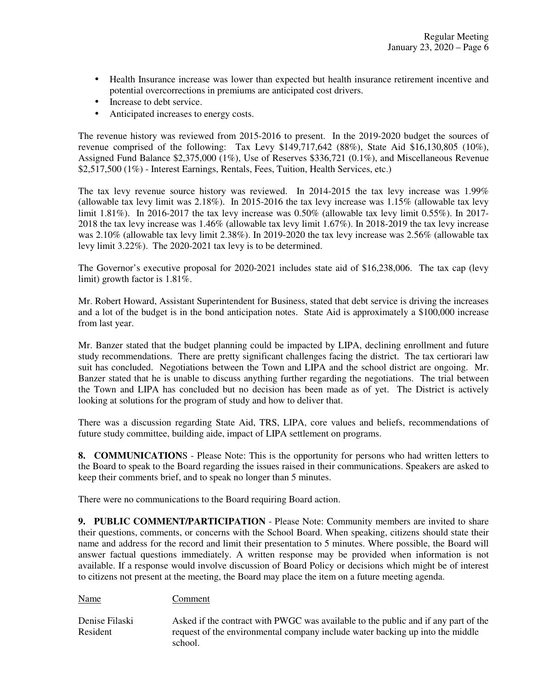- Health Insurance increase was lower than expected but health insurance retirement incentive and potential overcorrections in premiums are anticipated cost drivers.
- Increase to debt service.
- Anticipated increases to energy costs.

The revenue history was reviewed from 2015-2016 to present. In the 2019-2020 budget the sources of revenue comprised of the following: Tax Levy \$149,717,642 (88%), State Aid \$16,130,805 (10%), Assigned Fund Balance \$2,375,000 (1%), Use of Reserves \$336,721 (0.1%), and Miscellaneous Revenue \$2,517,500 (1%) - Interest Earnings, Rentals, Fees, Tuition, Health Services, etc.)

The tax levy revenue source history was reviewed. In 2014-2015 the tax levy increase was 1.99% (allowable tax levy limit was 2.18%). In 2015-2016 the tax levy increase was 1.15% (allowable tax levy limit 1.81%). In 2016-2017 the tax levy increase was 0.50% (allowable tax levy limit 0.55%). In 2017- 2018 the tax levy increase was 1.46% (allowable tax levy limit 1.67%). In 2018-2019 the tax levy increase was 2.10% (allowable tax levy limit 2.38%). In 2019-2020 the tax levy increase was 2.56% (allowable tax levy limit 3.22%). The 2020-2021 tax levy is to be determined.

The Governor's executive proposal for 2020-2021 includes state aid of \$16,238,006. The tax cap (levy limit) growth factor is 1.81%.

Mr. Robert Howard, Assistant Superintendent for Business, stated that debt service is driving the increases and a lot of the budget is in the bond anticipation notes. State Aid is approximately a \$100,000 increase from last year.

Mr. Banzer stated that the budget planning could be impacted by LIPA, declining enrollment and future study recommendations. There are pretty significant challenges facing the district. The tax certiorari law suit has concluded. Negotiations between the Town and LIPA and the school district are ongoing. Mr. Banzer stated that he is unable to discuss anything further regarding the negotiations. The trial between the Town and LIPA has concluded but no decision has been made as of yet. The District is actively looking at solutions for the program of study and how to deliver that.

There was a discussion regarding State Aid, TRS, LIPA, core values and beliefs, recommendations of future study committee, building aide, impact of LIPA settlement on programs.

**8. COMMUNICATION**S - Please Note: This is the opportunity for persons who had written letters to the Board to speak to the Board regarding the issues raised in their communications. Speakers are asked to keep their comments brief, and to speak no longer than 5 minutes.

There were no communications to the Board requiring Board action.

Name Comment

**9. PUBLIC COMMENT/PARTICIPATION** - Please Note: Community members are invited to share their questions, comments, or concerns with the School Board. When speaking, citizens should state their name and address for the record and limit their presentation to 5 minutes. Where possible, the Board will answer factual questions immediately. A written response may be provided when information is not available. If a response would involve discussion of Board Policy or decisions which might be of interest to citizens not present at the meeting, the Board may place the item on a future meeting agenda.

Denise Filaski Asked if the contract with PWGC was available to the public and if any part of the Resident request of the environmental company include water backing up into the middle school.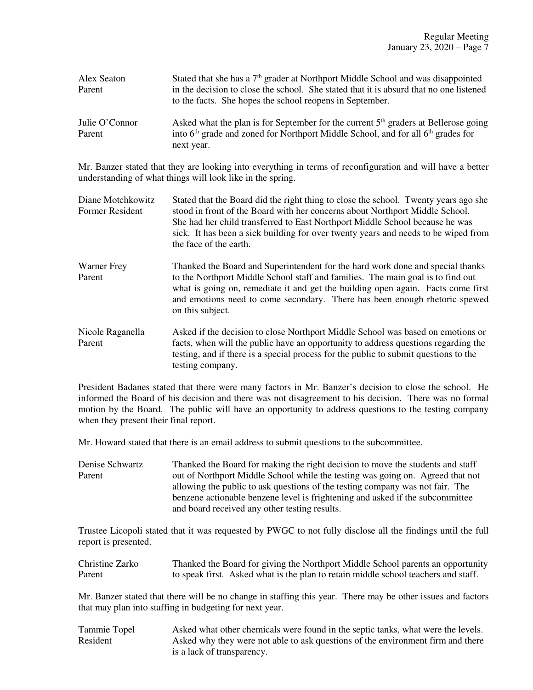| Alex Seaton    | Stated that she has a 7 <sup>th</sup> grader at Northport Middle School and was disappointed             |
|----------------|----------------------------------------------------------------------------------------------------------|
| Parent         | in the decision to close the school. She stated that it is absurd that no one listened                   |
|                | to the facts. She hopes the school reopens in September.                                                 |
| Julie O'Connor | Asked what the plan is for September for the current 5 <sup>th</sup> graders at Bellerose going          |
| Parent         | into 6 <sup>th</sup> grade and zoned for Northport Middle School, and for all 6 <sup>th</sup> grades for |
|                | next year.                                                                                               |

Mr. Banzer stated that they are looking into everything in terms of reconfiguration and will have a better understanding of what things will look like in the spring.

- Diane Motchkowitz Stated that the Board did the right thing to close the school. Twenty years ago she<br>Former Resident stood in front of the Board with her concerns about Northport Middle School. stood in front of the Board with her concerns about Northport Middle School. She had her child transferred to East Northport Middle School because he was sick. It has been a sick building for over twenty years and needs to be wiped from the face of the earth.
- Warner Frey Thanked the Board and Superintendent for the hard work done and special thanks Parent to the Northport Middle School staff and families. The main goal is to find out what is going on, remediate it and get the building open again. Facts come first and emotions need to come secondary. There has been enough rhetoric spewed on this subject.
- Nicole Raganella Asked if the decision to close Northport Middle School was based on emotions or Parent facts, when will the public have an opportunity to address questions regarding the testing, and if there is a special process for the public to submit questions to the testing company.

President Badanes stated that there were many factors in Mr. Banzer's decision to close the school. He informed the Board of his decision and there was not disagreement to his decision. There was no formal motion by the Board. The public will have an opportunity to address questions to the testing company when they present their final report.

Mr. Howard stated that there is an email address to submit questions to the subcommittee.

Denise Schwartz Thanked the Board for making the right decision to move the students and staff<br>Parent out of Northport Middle School while the testing was going on. Agreed that not out of Northport Middle School while the testing was going on. Agreed that not allowing the public to ask questions of the testing company was not fair. The benzene actionable benzene level is frightening and asked if the subcommittee and board received any other testing results.

Trustee Licopoli stated that it was requested by PWGC to not fully disclose all the findings until the full report is presented.

| Christine Zarko | Thanked the Board for giving the Northport Middle School parents an opportunity    |
|-----------------|------------------------------------------------------------------------------------|
| Parent          | to speak first. Asked what is the plan to retain middle school teachers and staff. |

Mr. Banzer stated that there will be no change in staffing this year. There may be other issues and factors that may plan into staffing in budgeting for next year.

Tammie Topel Asked what other chemicals were found in the septic tanks, what were the levels. Resident Asked why they were not able to ask questions of the environment firm and there is a lack of transparency.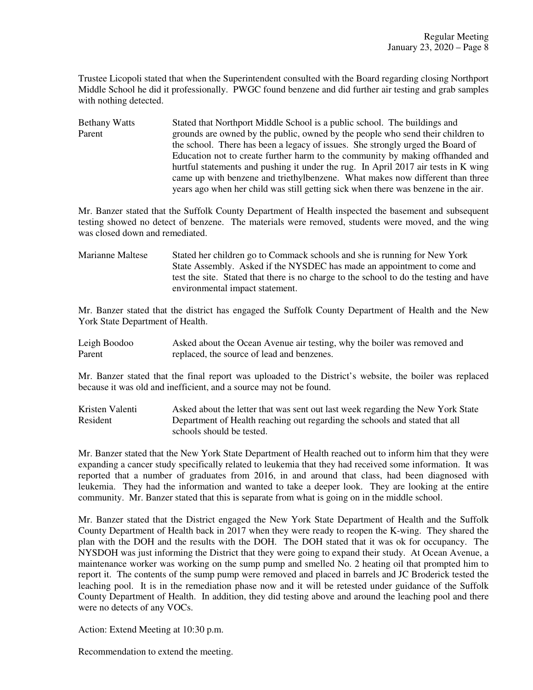Trustee Licopoli stated that when the Superintendent consulted with the Board regarding closing Northport Middle School he did it professionally. PWGC found benzene and did further air testing and grab samples with nothing detected.

Bethany Watts Stated that Northport Middle School is a public school. The buildings and Parent grounds are owned by the public, owned by the people who send their children to the school. There has been a legacy of issues. She strongly urged the Board of Education not to create further harm to the community by making offhanded and hurtful statements and pushing it under the rug. In April 2017 air tests in K wing came up with benzene and triethylbenzene. What makes now different than three years ago when her child was still getting sick when there was benzene in the air.

Mr. Banzer stated that the Suffolk County Department of Health inspected the basement and subsequent testing showed no detect of benzene. The materials were removed, students were moved, and the wing was closed down and remediated.

Marianne Maltese Stated her children go to Commack schools and she is running for New York State Assembly. Asked if the NYSDEC has made an appointment to come and test the site. Stated that there is no charge to the school to do the testing and have environmental impact statement.

Mr. Banzer stated that the district has engaged the Suffolk County Department of Health and the New York State Department of Health.

| Leigh Boodoo | Asked about the Ocean Avenue air testing, why the boiler was removed and |
|--------------|--------------------------------------------------------------------------|
| Parent       | replaced, the source of lead and benzenes.                               |

Mr. Banzer stated that the final report was uploaded to the District's website, the boiler was replaced because it was old and inefficient, and a source may not be found.

Kristen Valenti Asked about the letter that was sent out last week regarding the New York State Resident Department of Health reaching out regarding the schools and stated that all schools should be tested.

Mr. Banzer stated that the New York State Department of Health reached out to inform him that they were expanding a cancer study specifically related to leukemia that they had received some information. It was reported that a number of graduates from 2016, in and around that class, had been diagnosed with leukemia. They had the information and wanted to take a deeper look. They are looking at the entire community. Mr. Banzer stated that this is separate from what is going on in the middle school.

Mr. Banzer stated that the District engaged the New York State Department of Health and the Suffolk County Department of Health back in 2017 when they were ready to reopen the K-wing. They shared the plan with the DOH and the results with the DOH. The DOH stated that it was ok for occupancy. The NYSDOH was just informing the District that they were going to expand their study. At Ocean Avenue, a maintenance worker was working on the sump pump and smelled No. 2 heating oil that prompted him to report it. The contents of the sump pump were removed and placed in barrels and JC Broderick tested the leaching pool. It is in the remediation phase now and it will be retested under guidance of the Suffolk County Department of Health. In addition, they did testing above and around the leaching pool and there were no detects of any VOCs.

Action: Extend Meeting at 10:30 p.m.

Recommendation to extend the meeting.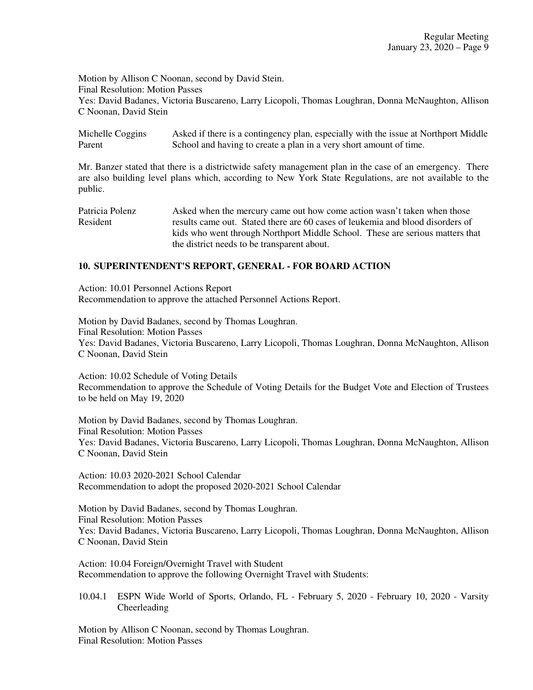Motion by Allison C Noonan, second by David Stein. Final Resolution: Motion Passes Yes: David Badanes, Victoria Buscareno, Larry Licopoli, Thomas Loughran, Donna McNaughton, Allison C Noonan, David Stein

Michelle Coggins Asked if there is a contingency plan, especially with the issue at Northport Middle Parent School and having to create a plan in a very short amount of time.

Mr. Banzer stated that there is a districtwide safety management plan in the case of an emergency. There are also building level plans which, according to New York State Regulations, are not available to the public.

Patricia Polenz Asked when the mercury came out how come action wasn't taken when those Resident results came out. Stated there are 60 cases of leukemia and blood disorders of kids who went through Northport Middle School. These are serious matters that the district needs to be transparent about.

# **10. SUPERINTENDENT'S REPORT, GENERAL - FOR BOARD ACTION**

Action: 10.01 Personnel Actions Report Recommendation to approve the attached Personnel Actions Report.

Motion by David Badanes, second by Thomas Loughran. Final Resolution: Motion Passes Yes: David Badanes, Victoria Buscareno, Larry Licopoli, Thomas Loughran, Donna McNaughton, Allison C Noonan, David Stein

Action: 10.02 Schedule of Voting Details Recommendation to approve the Schedule of Voting Details for the Budget Vote and Election of Trustees to be held on May 19, 2020

Motion by David Badanes, second by Thomas Loughran. Final Resolution: Motion Passes Yes: David Badanes, Victoria Buscareno, Larry Licopoli, Thomas Loughran, Donna McNaughton, Allison C Noonan, David Stein

Action: 10.03 2020-2021 School Calendar Recommendation to adopt the proposed 2020-2021 School Calendar

Motion by David Badanes, second by Thomas Loughran. Final Resolution: Motion Passes Yes: David Badanes, Victoria Buscareno, Larry Licopoli, Thomas Loughran, Donna McNaughton, Allison C Noonan, David Stein

Action: 10.04 Foreign/Overnight Travel with Student Recommendation to approve the following Overnight Travel with Students:

10.04.1 ESPN Wide World of Sports, Orlando, FL - February 5, 2020 - February 10, 2020 - Varsity Cheerleading

Motion by Allison C Noonan, second by Thomas Loughran. Final Resolution: Motion Passes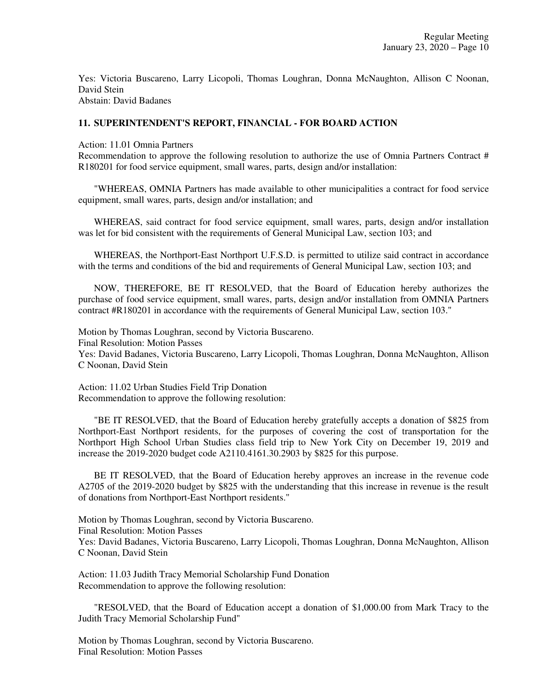Yes: Victoria Buscareno, Larry Licopoli, Thomas Loughran, Donna McNaughton, Allison C Noonan, David Stein Abstain: David Badanes

### **11. SUPERINTENDENT'S REPORT, FINANCIAL - FOR BOARD ACTION**

Action: 11.01 Omnia Partners

Recommendation to approve the following resolution to authorize the use of Omnia Partners Contract # R180201 for food service equipment, small wares, parts, design and/or installation:

"WHEREAS, OMNIA Partners has made available to other municipalities a contract for food service equipment, small wares, parts, design and/or installation; and

WHEREAS, said contract for food service equipment, small wares, parts, design and/or installation was let for bid consistent with the requirements of General Municipal Law, section 103; and

WHEREAS, the Northport-East Northport U.F.S.D. is permitted to utilize said contract in accordance with the terms and conditions of the bid and requirements of General Municipal Law, section 103; and

NOW, THEREFORE, BE IT RESOLVED, that the Board of Education hereby authorizes the purchase of food service equipment, small wares, parts, design and/or installation from OMNIA Partners contract #R180201 in accordance with the requirements of General Municipal Law, section 103."

Motion by Thomas Loughran, second by Victoria Buscareno. Final Resolution: Motion Passes Yes: David Badanes, Victoria Buscareno, Larry Licopoli, Thomas Loughran, Donna McNaughton, Allison C Noonan, David Stein

Action: 11.02 Urban Studies Field Trip Donation Recommendation to approve the following resolution:

"BE IT RESOLVED, that the Board of Education hereby gratefully accepts a donation of \$825 from Northport-East Northport residents, for the purposes of covering the cost of transportation for the Northport High School Urban Studies class field trip to New York City on December 19, 2019 and increase the 2019-2020 budget code A2110.4161.30.2903 by \$825 for this purpose.

BE IT RESOLVED, that the Board of Education hereby approves an increase in the revenue code A2705 of the 2019-2020 budget by \$825 with the understanding that this increase in revenue is the result of donations from Northport-East Northport residents."

Motion by Thomas Loughran, second by Victoria Buscareno. Final Resolution: Motion Passes Yes: David Badanes, Victoria Buscareno, Larry Licopoli, Thomas Loughran, Donna McNaughton, Allison C Noonan, David Stein

Action: 11.03 Judith Tracy Memorial Scholarship Fund Donation Recommendation to approve the following resolution:

"RESOLVED, that the Board of Education accept a donation of \$1,000.00 from Mark Tracy to the Judith Tracy Memorial Scholarship Fund"

Motion by Thomas Loughran, second by Victoria Buscareno. Final Resolution: Motion Passes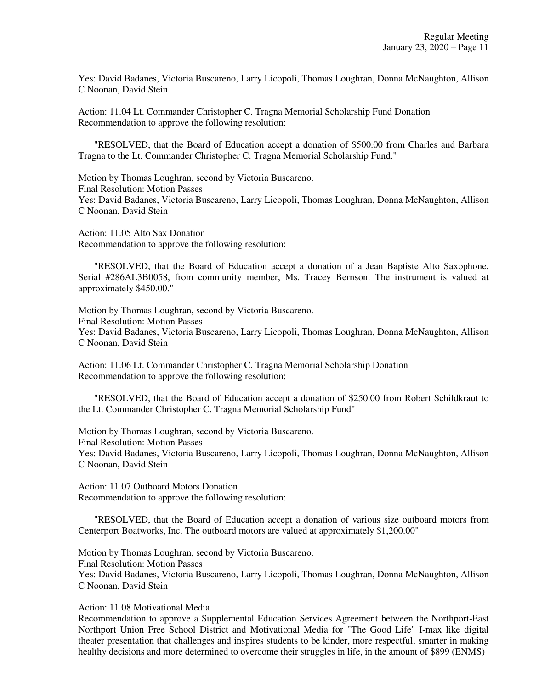Yes: David Badanes, Victoria Buscareno, Larry Licopoli, Thomas Loughran, Donna McNaughton, Allison C Noonan, David Stein

Action: 11.04 Lt. Commander Christopher C. Tragna Memorial Scholarship Fund Donation Recommendation to approve the following resolution:

"RESOLVED, that the Board of Education accept a donation of \$500.00 from Charles and Barbara Tragna to the Lt. Commander Christopher C. Tragna Memorial Scholarship Fund."

Motion by Thomas Loughran, second by Victoria Buscareno. Final Resolution: Motion Passes Yes: David Badanes, Victoria Buscareno, Larry Licopoli, Thomas Loughran, Donna McNaughton, Allison C Noonan, David Stein

Action: 11.05 Alto Sax Donation Recommendation to approve the following resolution:

"RESOLVED, that the Board of Education accept a donation of a Jean Baptiste Alto Saxophone, Serial #286AL3B0058, from community member, Ms. Tracey Bernson. The instrument is valued at approximately \$450.00."

Motion by Thomas Loughran, second by Victoria Buscareno. Final Resolution: Motion Passes Yes: David Badanes, Victoria Buscareno, Larry Licopoli, Thomas Loughran, Donna McNaughton, Allison C Noonan, David Stein

Action: 11.06 Lt. Commander Christopher C. Tragna Memorial Scholarship Donation Recommendation to approve the following resolution:

"RESOLVED, that the Board of Education accept a donation of \$250.00 from Robert Schildkraut to the Lt. Commander Christopher C. Tragna Memorial Scholarship Fund"

Motion by Thomas Loughran, second by Victoria Buscareno. Final Resolution: Motion Passes Yes: David Badanes, Victoria Buscareno, Larry Licopoli, Thomas Loughran, Donna McNaughton, Allison C Noonan, David Stein

Action: 11.07 Outboard Motors Donation Recommendation to approve the following resolution:

"RESOLVED, that the Board of Education accept a donation of various size outboard motors from Centerport Boatworks, Inc. The outboard motors are valued at approximately \$1,200.00"

Motion by Thomas Loughran, second by Victoria Buscareno.

Final Resolution: Motion Passes

Yes: David Badanes, Victoria Buscareno, Larry Licopoli, Thomas Loughran, Donna McNaughton, Allison C Noonan, David Stein

Action: 11.08 Motivational Media

Recommendation to approve a Supplemental Education Services Agreement between the Northport-East Northport Union Free School District and Motivational Media for "The Good Life" I-max like digital theater presentation that challenges and inspires students to be kinder, more respectful, smarter in making healthy decisions and more determined to overcome their struggles in life, in the amount of \$899 (ENMS)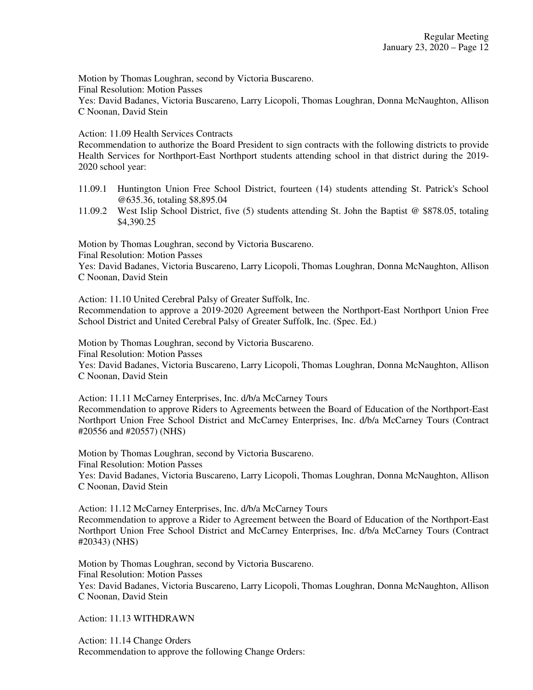Motion by Thomas Loughran, second by Victoria Buscareno.

Final Resolution: Motion Passes

Yes: David Badanes, Victoria Buscareno, Larry Licopoli, Thomas Loughran, Donna McNaughton, Allison C Noonan, David Stein

Action: 11.09 Health Services Contracts

Recommendation to authorize the Board President to sign contracts with the following districts to provide Health Services for Northport-East Northport students attending school in that district during the 2019- 2020 school year:

- 11.09.1 Huntington Union Free School District, fourteen (14) students attending St. Patrick's School @635.36, totaling \$8,895.04
- 11.09.2 West Islip School District, five (5) students attending St. John the Baptist @ \$878.05, totaling \$4,390.25

Motion by Thomas Loughran, second by Victoria Buscareno.

Final Resolution: Motion Passes

Yes: David Badanes, Victoria Buscareno, Larry Licopoli, Thomas Loughran, Donna McNaughton, Allison C Noonan, David Stein

Action: 11.10 United Cerebral Palsy of Greater Suffolk, Inc.

Recommendation to approve a 2019-2020 Agreement between the Northport-East Northport Union Free School District and United Cerebral Palsy of Greater Suffolk, Inc. (Spec. Ed.)

Motion by Thomas Loughran, second by Victoria Buscareno.

Final Resolution: Motion Passes

Yes: David Badanes, Victoria Buscareno, Larry Licopoli, Thomas Loughran, Donna McNaughton, Allison C Noonan, David Stein

Action: 11.11 McCarney Enterprises, Inc. d/b/a McCarney Tours Recommendation to approve Riders to Agreements between the Board of Education of the Northport-East Northport Union Free School District and McCarney Enterprises, Inc. d/b/a McCarney Tours (Contract #20556 and #20557) (NHS)

Motion by Thomas Loughran, second by Victoria Buscareno. Final Resolution: Motion Passes Yes: David Badanes, Victoria Buscareno, Larry Licopoli, Thomas Loughran, Donna McNaughton, Allison C Noonan, David Stein

Action: 11.12 McCarney Enterprises, Inc. d/b/a McCarney Tours Recommendation to approve a Rider to Agreement between the Board of Education of the Northport-East Northport Union Free School District and McCarney Enterprises, Inc. d/b/a McCarney Tours (Contract #20343) (NHS)

Motion by Thomas Loughran, second by Victoria Buscareno. Final Resolution: Motion Passes Yes: David Badanes, Victoria Buscareno, Larry Licopoli, Thomas Loughran, Donna McNaughton, Allison C Noonan, David Stein

Action: 11.13 WITHDRAWN

Action: 11.14 Change Orders Recommendation to approve the following Change Orders: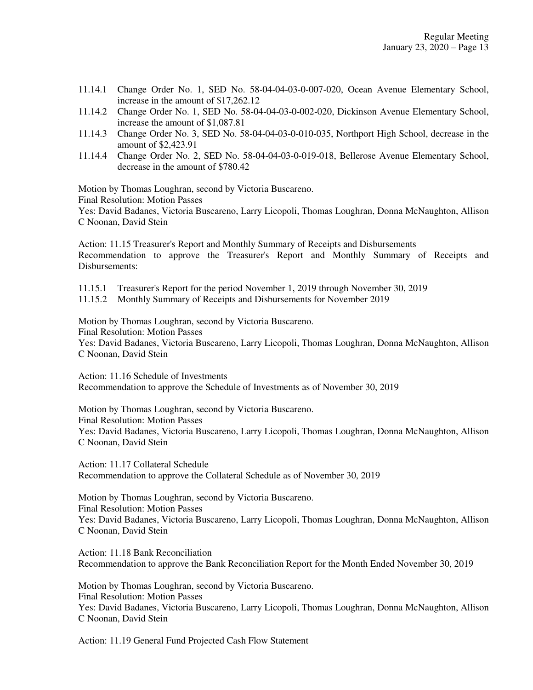- 11.14.1 Change Order No. 1, SED No. 58-04-04-03-0-007-020, Ocean Avenue Elementary School, increase in the amount of \$17,262.12
- 11.14.2 Change Order No. 1, SED No. 58-04-04-03-0-002-020, Dickinson Avenue Elementary School, increase the amount of \$1,087.81
- 11.14.3 Change Order No. 3, SED No. 58-04-04-03-0-010-035, Northport High School, decrease in the amount of \$2,423.91
- 11.14.4 Change Order No. 2, SED No. 58-04-04-03-0-019-018, Bellerose Avenue Elementary School, decrease in the amount of \$780.42

Motion by Thomas Loughran, second by Victoria Buscareno.

Final Resolution: Motion Passes

Yes: David Badanes, Victoria Buscareno, Larry Licopoli, Thomas Loughran, Donna McNaughton, Allison C Noonan, David Stein

Action: 11.15 Treasurer's Report and Monthly Summary of Receipts and Disbursements Recommendation to approve the Treasurer's Report and Monthly Summary of Receipts and Disbursements:

11.15.1 Treasurer's Report for the period November 1, 2019 through November 30, 2019

11.15.2 Monthly Summary of Receipts and Disbursements for November 2019

Motion by Thomas Loughran, second by Victoria Buscareno.

Final Resolution: Motion Passes

Yes: David Badanes, Victoria Buscareno, Larry Licopoli, Thomas Loughran, Donna McNaughton, Allison C Noonan, David Stein

Action: 11.16 Schedule of Investments Recommendation to approve the Schedule of Investments as of November 30, 2019

Motion by Thomas Loughran, second by Victoria Buscareno. Final Resolution: Motion Passes Yes: David Badanes, Victoria Buscareno, Larry Licopoli, Thomas Loughran, Donna McNaughton, Allison C Noonan, David Stein

Action: 11.17 Collateral Schedule Recommendation to approve the Collateral Schedule as of November 30, 2019

Motion by Thomas Loughran, second by Victoria Buscareno. Final Resolution: Motion Passes Yes: David Badanes, Victoria Buscareno, Larry Licopoli, Thomas Loughran, Donna McNaughton, Allison C Noonan, David Stein

Action: 11.18 Bank Reconciliation Recommendation to approve the Bank Reconciliation Report for the Month Ended November 30, 2019

Motion by Thomas Loughran, second by Victoria Buscareno. Final Resolution: Motion Passes Yes: David Badanes, Victoria Buscareno, Larry Licopoli, Thomas Loughran, Donna McNaughton, Allison C Noonan, David Stein

Action: 11.19 General Fund Projected Cash Flow Statement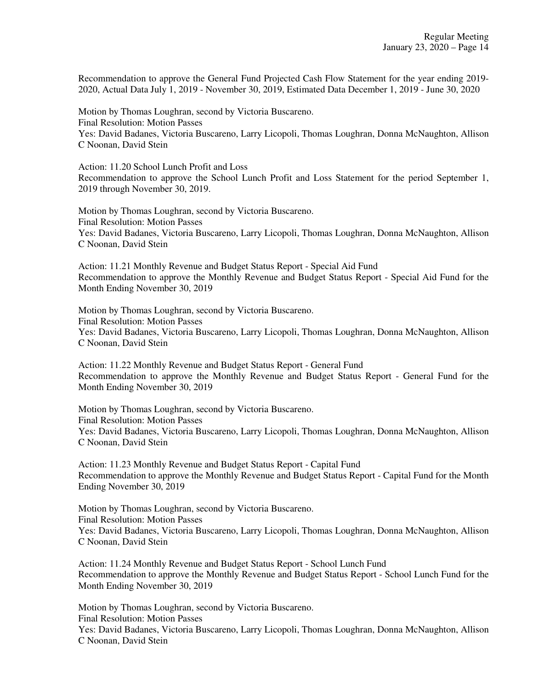Recommendation to approve the General Fund Projected Cash Flow Statement for the year ending 2019- 2020, Actual Data July 1, 2019 - November 30, 2019, Estimated Data December 1, 2019 - June 30, 2020

Motion by Thomas Loughran, second by Victoria Buscareno. Final Resolution: Motion Passes Yes: David Badanes, Victoria Buscareno, Larry Licopoli, Thomas Loughran, Donna McNaughton, Allison C Noonan, David Stein

Action: 11.20 School Lunch Profit and Loss Recommendation to approve the School Lunch Profit and Loss Statement for the period September 1, 2019 through November 30, 2019.

Motion by Thomas Loughran, second by Victoria Buscareno. Final Resolution: Motion Passes Yes: David Badanes, Victoria Buscareno, Larry Licopoli, Thomas Loughran, Donna McNaughton, Allison C Noonan, David Stein

Action: 11.21 Monthly Revenue and Budget Status Report - Special Aid Fund Recommendation to approve the Monthly Revenue and Budget Status Report - Special Aid Fund for the Month Ending November 30, 2019

Motion by Thomas Loughran, second by Victoria Buscareno. Final Resolution: Motion Passes Yes: David Badanes, Victoria Buscareno, Larry Licopoli, Thomas Loughran, Donna McNaughton, Allison C Noonan, David Stein

Action: 11.22 Monthly Revenue and Budget Status Report - General Fund Recommendation to approve the Monthly Revenue and Budget Status Report - General Fund for the Month Ending November 30, 2019

Motion by Thomas Loughran, second by Victoria Buscareno. Final Resolution: Motion Passes Yes: David Badanes, Victoria Buscareno, Larry Licopoli, Thomas Loughran, Donna McNaughton, Allison C Noonan, David Stein

Action: 11.23 Monthly Revenue and Budget Status Report - Capital Fund Recommendation to approve the Monthly Revenue and Budget Status Report - Capital Fund for the Month Ending November 30, 2019

Motion by Thomas Loughran, second by Victoria Buscareno. Final Resolution: Motion Passes Yes: David Badanes, Victoria Buscareno, Larry Licopoli, Thomas Loughran, Donna McNaughton, Allison C Noonan, David Stein

Action: 11.24 Monthly Revenue and Budget Status Report - School Lunch Fund Recommendation to approve the Monthly Revenue and Budget Status Report - School Lunch Fund for the Month Ending November 30, 2019

Motion by Thomas Loughran, second by Victoria Buscareno. Final Resolution: Motion Passes Yes: David Badanes, Victoria Buscareno, Larry Licopoli, Thomas Loughran, Donna McNaughton, Allison C Noonan, David Stein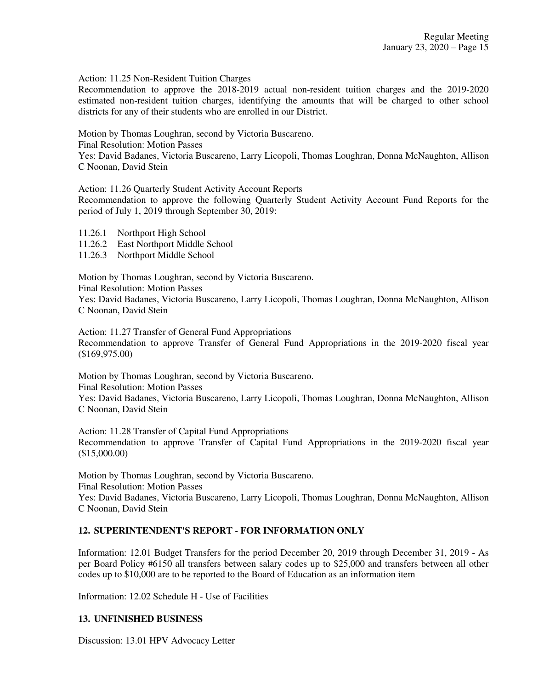Action: 11.25 Non-Resident Tuition Charges

Recommendation to approve the 2018-2019 actual non-resident tuition charges and the 2019-2020 estimated non-resident tuition charges, identifying the amounts that will be charged to other school districts for any of their students who are enrolled in our District.

Motion by Thomas Loughran, second by Victoria Buscareno. Final Resolution: Motion Passes Yes: David Badanes, Victoria Buscareno, Larry Licopoli, Thomas Loughran, Donna McNaughton, Allison C Noonan, David Stein

Action: 11.26 Quarterly Student Activity Account Reports

Recommendation to approve the following Quarterly Student Activity Account Fund Reports for the period of July 1, 2019 through September 30, 2019:

- 11.26.1 Northport High School
- 11.26.2 East Northport Middle School
- 11.26.3 Northport Middle School

Motion by Thomas Loughran, second by Victoria Buscareno.

Final Resolution: Motion Passes

Yes: David Badanes, Victoria Buscareno, Larry Licopoli, Thomas Loughran, Donna McNaughton, Allison C Noonan, David Stein

Action: 11.27 Transfer of General Fund Appropriations Recommendation to approve Transfer of General Fund Appropriations in the 2019-2020 fiscal year (\$169,975.00)

Motion by Thomas Loughran, second by Victoria Buscareno. Final Resolution: Motion Passes Yes: David Badanes, Victoria Buscareno, Larry Licopoli, Thomas Loughran, Donna McNaughton, Allison C Noonan, David Stein

Action: 11.28 Transfer of Capital Fund Appropriations Recommendation to approve Transfer of Capital Fund Appropriations in the 2019-2020 fiscal year (\$15,000.00)

Motion by Thomas Loughran, second by Victoria Buscareno. Final Resolution: Motion Passes Yes: David Badanes, Victoria Buscareno, Larry Licopoli, Thomas Loughran, Donna McNaughton, Allison C Noonan, David Stein

## **12. SUPERINTENDENT'S REPORT - FOR INFORMATION ONLY**

Information: 12.01 Budget Transfers for the period December 20, 2019 through December 31, 2019 - As per Board Policy #6150 all transfers between salary codes up to \$25,000 and transfers between all other codes up to \$10,000 are to be reported to the Board of Education as an information item

Information: 12.02 Schedule H - Use of Facilities

## **13. UNFINISHED BUSINESS**

Discussion: 13.01 HPV Advocacy Letter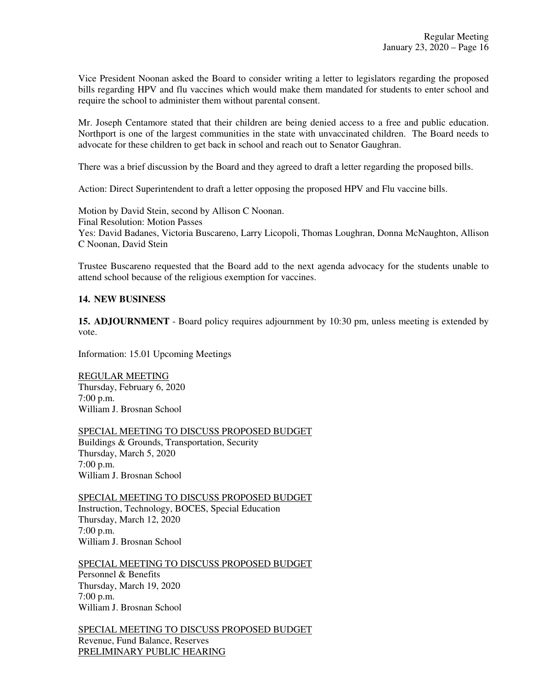Vice President Noonan asked the Board to consider writing a letter to legislators regarding the proposed bills regarding HPV and flu vaccines which would make them mandated for students to enter school and require the school to administer them without parental consent.

Mr. Joseph Centamore stated that their children are being denied access to a free and public education. Northport is one of the largest communities in the state with unvaccinated children. The Board needs to advocate for these children to get back in school and reach out to Senator Gaughran.

There was a brief discussion by the Board and they agreed to draft a letter regarding the proposed bills.

Action: Direct Superintendent to draft a letter opposing the proposed HPV and Flu vaccine bills.

Motion by David Stein, second by Allison C Noonan. Final Resolution: Motion Passes Yes: David Badanes, Victoria Buscareno, Larry Licopoli, Thomas Loughran, Donna McNaughton, Allison C Noonan, David Stein

Trustee Buscareno requested that the Board add to the next agenda advocacy for the students unable to attend school because of the religious exemption for vaccines.

### **14. NEW BUSINESS**

**15. ADJOURNMENT** - Board policy requires adjournment by 10:30 pm, unless meeting is extended by vote.

Information: 15.01 Upcoming Meetings

REGULAR MEETING Thursday, February 6, 2020 7:00 p.m. William J. Brosnan School

SPECIAL MEETING TO DISCUSS PROPOSED BUDGET Buildings & Grounds, Transportation, Security Thursday, March 5, 2020 7:00 p.m. William J. Brosnan School

SPECIAL MEETING TO DISCUSS PROPOSED BUDGET Instruction, Technology, BOCES, Special Education Thursday, March 12, 2020 7:00 p.m. William J. Brosnan School

SPECIAL MEETING TO DISCUSS PROPOSED BUDGET Personnel & Benefits Thursday, March 19, 2020 7:00 p.m. William J. Brosnan School

SPECIAL MEETING TO DISCUSS PROPOSED BUDGET Revenue, Fund Balance, Reserves PRELIMINARY PUBLIC HEARING